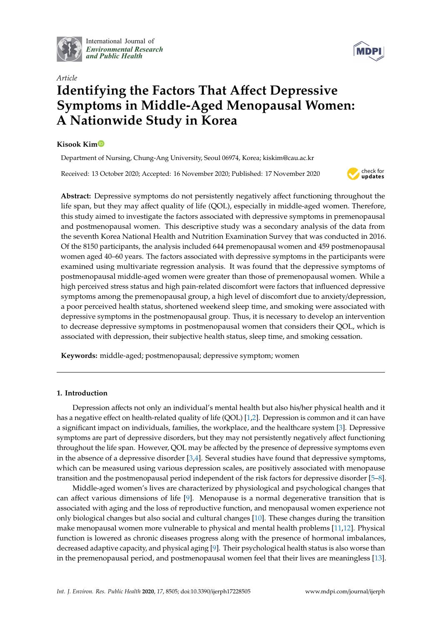

International Journal of *[Environmental Research](http://www.mdpi.com/journal/ijerph) and Public Health*



# *Article* **Identifying the Factors That A**ff**ect Depressive Symptoms in Middle-Aged Menopausal Women: A Nationwide Study in Korea**

# **Kisook Ki[m](https://orcid.org/0000-0003-0343-8692)**

Department of Nursing, Chung-Ang University, Seoul 06974, Korea; kiskim@cau.ac.kr

Received: 13 October 2020; Accepted: 16 November 2020; Published: 17 November 2020



**Abstract:** Depressive symptoms do not persistently negatively affect functioning throughout the life span, but they may affect quality of life (QOL), especially in middle-aged women. Therefore, this study aimed to investigate the factors associated with depressive symptoms in premenopausal and postmenopausal women. This descriptive study was a secondary analysis of the data from the seventh Korea National Health and Nutrition Examination Survey that was conducted in 2016. Of the 8150 participants, the analysis included 644 premenopausal women and 459 postmenopausal women aged 40–60 years. The factors associated with depressive symptoms in the participants were examined using multivariate regression analysis. It was found that the depressive symptoms of postmenopausal middle-aged women were greater than those of premenopausal women. While a high perceived stress status and high pain-related discomfort were factors that influenced depressive symptoms among the premenopausal group, a high level of discomfort due to anxiety/depression, a poor perceived health status, shortened weekend sleep time, and smoking were associated with depressive symptoms in the postmenopausal group. Thus, it is necessary to develop an intervention to decrease depressive symptoms in postmenopausal women that considers their QOL, which is associated with depression, their subjective health status, sleep time, and smoking cessation.

**Keywords:** middle-aged; postmenopausal; depressive symptom; women

# **1. Introduction**

Depression affects not only an individual's mental health but also his/her physical health and it has a negative effect on health-related quality of life (QOL) [\[1](#page-9-0)[,2\]](#page-9-1). Depression is common and it can have a significant impact on individuals, families, the workplace, and the healthcare system [\[3\]](#page-9-2). Depressive symptoms are part of depressive disorders, but they may not persistently negatively affect functioning throughout the life span. However, QOL may be affected by the presence of depressive symptoms even in the absence of a depressive disorder [\[3](#page-9-2)[,4\]](#page-9-3). Several studies have found that depressive symptoms, which can be measured using various depression scales, are positively associated with menopause transition and the postmenopausal period independent of the risk factors for depressive disorder [\[5–](#page-9-4)[8\]](#page-9-5).

Middle-aged women's lives are characterized by physiological and psychological changes that can affect various dimensions of life [\[9\]](#page-9-6). Menopause is a normal degenerative transition that is associated with aging and the loss of reproductive function, and menopausal women experience not only biological changes but also social and cultural changes [\[10\]](#page-9-7). These changes during the transition make menopausal women more vulnerable to physical and mental health problems [\[11,](#page-9-8)[12\]](#page-9-9). Physical function is lowered as chronic diseases progress along with the presence of hormonal imbalances, decreased adaptive capacity, and physical aging [\[9\]](#page-9-6). Their psychological health status is also worse than in the premenopausal period, and postmenopausal women feel that their lives are meaningless [\[13\]](#page-9-10).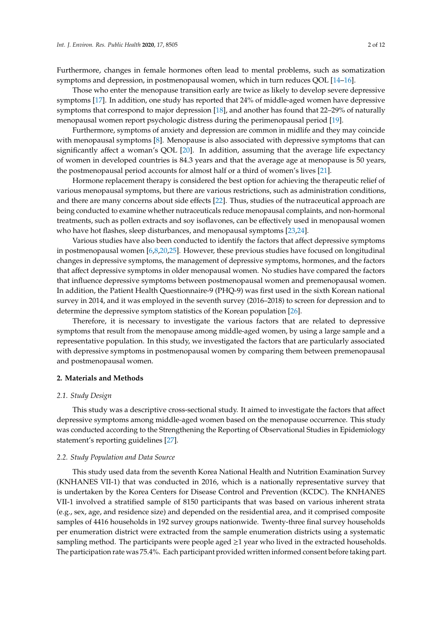Furthermore, changes in female hormones often lead to mental problems, such as somatization symptoms and depression, in postmenopausal women, which in turn reduces QOL [\[14–](#page-9-11)[16\]](#page-9-12).

Those who enter the menopause transition early are twice as likely to develop severe depressive symptoms [\[17\]](#page-9-13). In addition, one study has reported that 24% of middle-aged women have depressive symptoms that correspond to major depression [\[18\]](#page-9-14), and another has found that 22–29% of naturally menopausal women report psychologic distress during the perimenopausal period [\[19\]](#page-9-15).

Furthermore, symptoms of anxiety and depression are common in midlife and they may coincide with menopausal symptoms [\[8\]](#page-9-5). Menopause is also associated with depressive symptoms that can significantly affect a woman's QOL [\[20\]](#page-10-0). In addition, assuming that the average life expectancy of women in developed countries is 84.3 years and that the average age at menopause is 50 years, the postmenopausal period accounts for almost half or a third of women's lives [\[21\]](#page-10-1).

Hormone replacement therapy is considered the best option for achieving the therapeutic relief of various menopausal symptoms, but there are various restrictions, such as administration conditions, and there are many concerns about side effects [\[22\]](#page-10-2). Thus, studies of the nutraceutical approach are being conducted to examine whether nutraceuticals reduce menopausal complaints, and non-hormonal treatments, such as pollen extracts and soy isoflavones, can be effectively used in menopausal women who have hot flashes, sleep disturbances, and menopausal symptoms [\[23](#page-10-3)[,24\]](#page-10-4).

Various studies have also been conducted to identify the factors that affect depressive symptoms in postmenopausal women [\[6,](#page-9-16)[8](#page-9-5)[,20](#page-10-0)[,25\]](#page-10-5). However, these previous studies have focused on longitudinal changes in depressive symptoms, the management of depressive symptoms, hormones, and the factors that affect depressive symptoms in older menopausal women. No studies have compared the factors that influence depressive symptoms between postmenopausal women and premenopausal women. In addition, the Patient Health Questionnaire-9 (PHQ-9) was first used in the sixth Korean national survey in 2014, and it was employed in the seventh survey (2016–2018) to screen for depression and to determine the depressive symptom statistics of the Korean population [\[26\]](#page-10-6).

Therefore, it is necessary to investigate the various factors that are related to depressive symptoms that result from the menopause among middle-aged women, by using a large sample and a representative population. In this study, we investigated the factors that are particularly associated with depressive symptoms in postmenopausal women by comparing them between premenopausal and postmenopausal women.

## **2. Materials and Methods**

### *2.1. Study Design*

This study was a descriptive cross-sectional study. It aimed to investigate the factors that affect depressive symptoms among middle-aged women based on the menopause occurrence. This study was conducted according to the Strengthening the Reporting of Observational Studies in Epidemiology statement's reporting guidelines [\[27\]](#page-10-7).

## *2.2. Study Population and Data Source*

This study used data from the seventh Korea National Health and Nutrition Examination Survey (KNHANES VII-1) that was conducted in 2016, which is a nationally representative survey that is undertaken by the Korea Centers for Disease Control and Prevention (KCDC). The KNHANES VII-1 involved a stratified sample of 8150 participants that was based on various inherent strata (e.g., sex, age, and residence size) and depended on the residential area, and it comprised composite samples of 4416 households in 192 survey groups nationwide. Twenty-three final survey households per enumeration district were extracted from the sample enumeration districts using a systematic sampling method. The participants were people aged  $\geq$ 1 year who lived in the extracted households. The participation rate was 75.4%. Each participant provided written informed consent before taking part.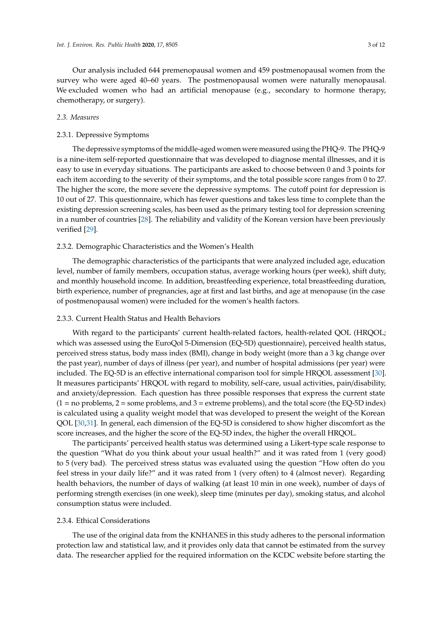Our analysis included 644 premenopausal women and 459 postmenopausal women from the survey who were aged 40–60 years. The postmenopausal women were naturally menopausal. We excluded women who had an artificial menopause (e.g., secondary to hormone therapy, chemotherapy, or surgery).

## *2.3. Measures*

## 2.3.1. Depressive Symptoms

The depressive symptoms of the middle-aged women were measured using the PHQ-9. The PHQ-9 is a nine-item self-reported questionnaire that was developed to diagnose mental illnesses, and it is easy to use in everyday situations. The participants are asked to choose between 0 and 3 points for each item according to the severity of their symptoms, and the total possible score ranges from 0 to 27. The higher the score, the more severe the depressive symptoms. The cutoff point for depression is 10 out of 27. This questionnaire, which has fewer questions and takes less time to complete than the existing depression screening scales, has been used as the primary testing tool for depression screening in a number of countries [\[28\]](#page-10-8). The reliability and validity of the Korean version have been previously verified [\[29\]](#page-10-9).

#### 2.3.2. Demographic Characteristics and the Women's Health

The demographic characteristics of the participants that were analyzed included age, education level, number of family members, occupation status, average working hours (per week), shift duty, and monthly household income. In addition, breastfeeding experience, total breastfeeding duration, birth experience, number of pregnancies, age at first and last births, and age at menopause (in the case of postmenopausal women) were included for the women's health factors.

### 2.3.3. Current Health Status and Health Behaviors

With regard to the participants' current health-related factors, health-related QOL (HRQOL; which was assessed using the EuroQol 5-Dimension (EQ-5D) questionnaire), perceived health status, perceived stress status, body mass index (BMI), change in body weight (more than a 3 kg change over the past year), number of days of illness (per year), and number of hospital admissions (per year) were included. The EQ-5D is an effective international comparison tool for simple HRQOL assessment [\[30\]](#page-10-10). It measures participants' HRQOL with regard to mobility, self-care, usual activities, pain/disability, and anxiety/depression. Each question has three possible responses that express the current state  $(1 = no problems, 2 = some problems, and 3 = extreme problems), and the total score (the EQ-5D index)$ is calculated using a quality weight model that was developed to present the weight of the Korean QOL [\[30](#page-10-10)[,31\]](#page-10-11). In general, each dimension of the EQ-5D is considered to show higher discomfort as the score increases, and the higher the score of the EQ-5D index, the higher the overall HRQOL.

The participants' perceived health status was determined using a Likert-type scale response to the question "What do you think about your usual health?" and it was rated from 1 (very good) to 5 (very bad). The perceived stress status was evaluated using the question "How often do you feel stress in your daily life?" and it was rated from 1 (very often) to 4 (almost never). Regarding health behaviors, the number of days of walking (at least 10 min in one week), number of days of performing strength exercises (in one week), sleep time (minutes per day), smoking status, and alcohol consumption status were included.

#### 2.3.4. Ethical Considerations

The use of the original data from the KNHANES in this study adheres to the personal information protection law and statistical law, and it provides only data that cannot be estimated from the survey data. The researcher applied for the required information on the KCDC website before starting the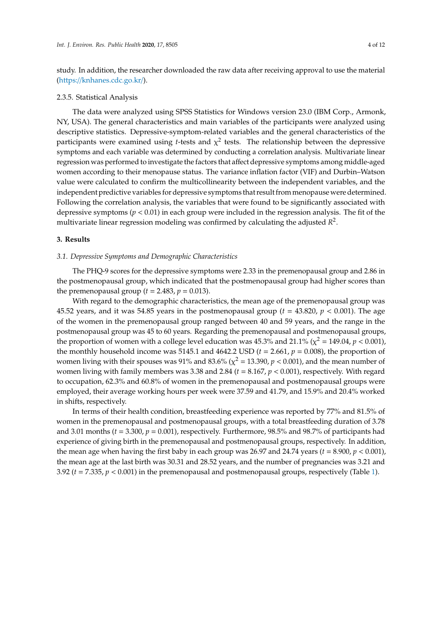study. In addition, the researcher downloaded the raw data after receiving approval to use the material (https://[knhanes.cdc.go.kr](https://knhanes.cdc.go.kr/)/).

#### 2.3.5. Statistical Analysis

The data were analyzed using SPSS Statistics for Windows version 23.0 (IBM Corp., Armonk, NY, USA). The general characteristics and main variables of the participants were analyzed using descriptive statistics. Depressive-symptom-related variables and the general characteristics of the participants were examined using *t*-tests and  $\chi^2$  tests. The relationship between the depressive symptoms and each variable was determined by conducting a correlation analysis. Multivariate linear regression was performed to investigate the factors that affect depressive symptoms among middle-aged women according to their menopause status. The variance inflation factor (VIF) and Durbin–Watson value were calculated to confirm the multicollinearity between the independent variables, and the independent predictive variables for depressive symptoms that result from menopause were determined. Following the correlation analysis, the variables that were found to be significantly associated with depressive symptoms (*p* < 0.01) in each group were included in the regression analysis. The fit of the multivariate linear regression modeling was confirmed by calculating the adjusted *R* 2 .

# **3. Results**

#### *3.1. Depressive Symptoms and Demographic Characteristics*

The PHQ-9 scores for the depressive symptoms were 2.33 in the premenopausal group and 2.86 in the postmenopausal group, which indicated that the postmenopausal group had higher scores than the premenopausal group ( $t = 2.483$ ,  $p = 0.013$ ).

With regard to the demographic characteristics, the mean age of the premenopausal group was 45.52 years, and it was 54.85 years in the postmenopausal group  $(t = 43.820, p < 0.001)$ . The age of the women in the premenopausal group ranged between 40 and 59 years, and the range in the postmenopausal group was 45 to 60 years. Regarding the premenopausal and postmenopausal groups, the proportion of women with a college level education was  $45.3\%$  and  $21.1\%$  ( $\chi^2 = 149.04$ ,  $p < 0.001$ ), the monthly household income was 5145.1 and 4642.2 USD  $(t = 2.661, p = 0.008)$ , the proportion of women living with their spouses was 91% and 83.6% ( $\chi^2$  = 13.390,  $p$  < 0.001), and the mean number of women living with family members was 3.38 and 2.84 (*t* = 8.167, *p* < 0.001), respectively. With regard to occupation, 62.3% and 60.8% of women in the premenopausal and postmenopausal groups were employed, their average working hours per week were 37.59 and 41.79, and 15.9% and 20.4% worked in shifts, respectively.

In terms of their health condition, breastfeeding experience was reported by 77% and 81.5% of women in the premenopausal and postmenopausal groups, with a total breastfeeding duration of 3.78 and 3.01 months ( $t = 3.300$ ,  $p = 0.001$ ), respectively. Furthermore, 98.5% and 98.7% of participants had experience of giving birth in the premenopausal and postmenopausal groups, respectively. In addition, the mean age when having the first baby in each group was 26.97 and 24.74 years  $(t = 8.900, p < 0.001)$ , the mean age at the last birth was 30.31 and 28.52 years, and the number of pregnancies was 3.21 and 3.92 (*t* = 7.335, *p* < 0.001) in the premenopausal and postmenopausal groups, respectively (Table [1\)](#page-4-0).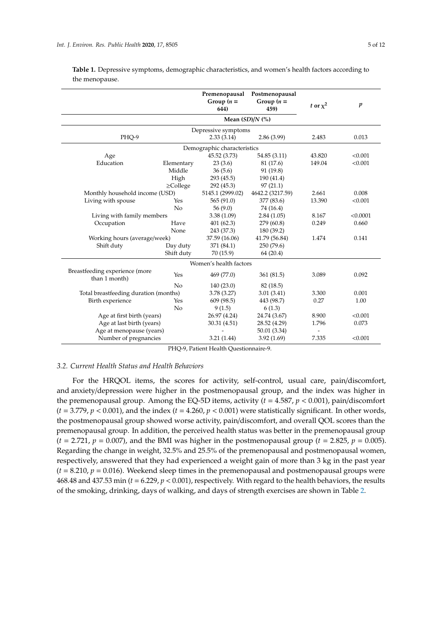|                                                 |                            | Premenopausal<br>Postmenopausal<br>Group $(n =$<br>Group $(n =$<br>644)<br>459) |                  | t or $x^2$ | $\boldsymbol{p}$ |
|-------------------------------------------------|----------------------------|---------------------------------------------------------------------------------|------------------|------------|------------------|
|                                                 |                            | Mean $(SD)/N$ $(\%)$                                                            |                  |            |                  |
|                                                 |                            | Depressive symptoms                                                             |                  |            |                  |
| PHO-9                                           |                            | 2.33(3.14)                                                                      | 2.86(3.99)       |            | 0.013            |
|                                                 |                            | Demographic characteristics                                                     |                  |            |                  |
| Age                                             |                            | 45.52 (3.73)                                                                    | 54.85 (3.11)     | 43.820     | < 0.001          |
| Education                                       | Elementary                 | 23(3.6)                                                                         | 81 (17.6)        | 149.04     | < 0.001          |
|                                                 | Middle                     | 36(5.6)                                                                         | 91 (19.8)        |            |                  |
|                                                 | High                       | 293 (45.5)                                                                      | 190 (41.4)       |            |                  |
|                                                 | $\geq$ College             | 292 (45.3)                                                                      | 97(21.1)         |            |                  |
| Monthly household income (USD)                  |                            | 5145.1 (2999.02)                                                                | 4642.2 (3217.59) | 2.661      | 0.008            |
| Living with spouse                              | Yes                        | 565(91.0)                                                                       | 377 (83.6)       | 13.390     | < 0.001          |
|                                                 | No                         | 56(9.0)                                                                         | 74 (16.4)        |            |                  |
|                                                 | Living with family members |                                                                                 | 2.84(1.05)       | 8.167      | < 0.0001         |
| Occupation                                      | Have                       | 401(62.3)                                                                       | 279 (60.8)       | 0.249      | 0.660            |
|                                                 | None                       | 243 (37.3)                                                                      | 180 (39.2)       |            |                  |
| Working hours (average/week)                    |                            | 37.59 (16.06)                                                                   | 41.79 (56.84)    | 1.474      | 0.141            |
| Shift duty                                      | Day duty                   | 371 (84.1)                                                                      | 250 (79.6)       |            |                  |
|                                                 | Shift duty                 | 70 (15.9)                                                                       | 64(20.4)         |            |                  |
|                                                 |                            | Women's health factors                                                          |                  |            |                  |
| Breastfeeding experience (more<br>than 1 month) | Yes                        | 469 (77.0)                                                                      | 361 (81.5)       | 3.089      | 0.092            |
|                                                 | No                         | 140(23.0)                                                                       | 82 (18.5)        |            |                  |
| Total breastfeeding duration (months)           | 3.78(3.27)                 | 3.01(3.41)                                                                      | 3.300            | 0.001      |                  |
| Birth experience                                | Yes                        | 609 (98.5)                                                                      | 443 (98.7)       | 0.27       | 1.00             |
|                                                 | No                         | 9(1.5)                                                                          | 6(1.3)           |            |                  |
| Age at first birth (years)                      | 26.97 (4.24)               | 24.74 (3.67)                                                                    | 8.900            | < 0.001    |                  |
| Age at last birth (years)                       | 30.31 (4.51)               | 28.52 (4.29)                                                                    | 1.796            | 0.073      |                  |
| Age at menopause (years)                        |                            | 50.01 (3.34)                                                                    |                  |            |                  |
| Number of pregnancies                           |                            | 3.21(1.44)                                                                      | 3.92(1.69)       | 7.335      | < 0.001          |

<span id="page-4-0"></span>**Table 1.** Depressive symptoms, demographic characteristics, and women's health factors according to the menopause.

PHQ-9, Patient Health Questionnaire-9.

# *3.2. Current Health Status and Health Behaviors*

For the HRQOL items, the scores for activity, self-control, usual care, pain/discomfort, and anxiety/depression were higher in the postmenopausal group, and the index was higher in the premenopausal group. Among the EQ-5D items, activity (*t* = 4.587, *p* < 0.001), pain/discomfort  $(t = 3.779, p < 0.001)$ , and the index  $(t = 4.260, p < 0.001)$  were statistically significant. In other words, the postmenopausal group showed worse activity, pain/discomfort, and overall QOL scores than the premenopausal group. In addition, the perceived health status was better in the premenopausal group  $(t = 2.721, p = 0.007)$ , and the BMI was higher in the postmenopausal group  $(t = 2.825, p = 0.005)$ . Regarding the change in weight, 32.5% and 25.5% of the premenopausal and postmenopausal women, respectively, answered that they had experienced a weight gain of more than 3 kg in the past year  $(t = 8.210, p = 0.016)$ . Weekend sleep times in the premenopausal and postmenopausal groups were 468.48 and 437.53 min (*t* = 6.229, *p* < 0.001), respectively. With regard to the health behaviors, the results of the smoking, drinking, days of walking, and days of strength exercises are shown in Table [2.](#page-5-0)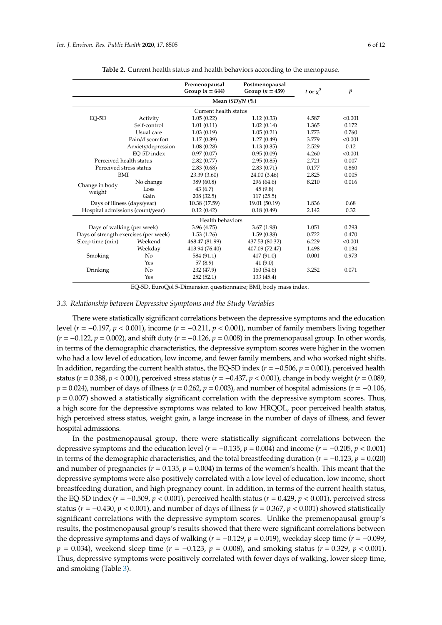<span id="page-5-0"></span>

|                                       |                       | Premenopausal<br>Postmenopausal<br>Group $(n = 644)$<br>Group $(n = 459)$ |                | t or $x^2$ | $\boldsymbol{p}$ |  |  |  |  |
|---------------------------------------|-----------------------|---------------------------------------------------------------------------|----------------|------------|------------------|--|--|--|--|
|                                       |                       | Mean $(SD)/N$ $(\%)$                                                      |                |            |                  |  |  |  |  |
|                                       | Current health status |                                                                           |                |            |                  |  |  |  |  |
| $EQ-5D$                               | Activity              | 1.05(0.22)                                                                | 1.12(0.33)     | 4.587      | < 0.001          |  |  |  |  |
|                                       | Self-control          | 1.01(0.11)                                                                | 1.02(0.14)     | 1.365      | 0.172            |  |  |  |  |
|                                       | Usual care            | 1.03(0.19)                                                                | 1.05(0.21)     | 1.773      | 0.760            |  |  |  |  |
|                                       | Pain/discomfort       | 1.17(0.39)                                                                | 1.27(0.49)     | 3.779      | < 0.001          |  |  |  |  |
| Anxiety/depression                    |                       | 1.08(0.28)                                                                | 1.13(0.35)     | 2.529      | 0.12             |  |  |  |  |
|                                       | EO-5D index           | 0.97(0.07)                                                                | 0.95(0.09)     | 4.260      | < 0.001          |  |  |  |  |
| Perceived health status               |                       | 2.82(0.77)                                                                | 2.95(0.85)     | 2.721      | 0.007            |  |  |  |  |
| Perceived stress status               |                       | 2.83(0.68)                                                                | 2.83(0.71)     | 0.177      | 0.860            |  |  |  |  |
| BMI                                   |                       | 23.39 (3.60)                                                              | 24.00 (3.46)   | 2.825      | 0.005            |  |  |  |  |
|                                       | No change             | 389 (60.8)                                                                | 296 (64.6)     | 8.210      | 0.016            |  |  |  |  |
| Change in body<br>weight              | Loss                  | 43(6.7)                                                                   | 45(9.8)        |            |                  |  |  |  |  |
|                                       | Gain                  | 208(32.5)                                                                 | 117(25.5)      |            |                  |  |  |  |  |
| Days of illness (days/year)           |                       | 10.38 (17.59)                                                             | 19.01 (50.19)  | 1.836      | 0.68             |  |  |  |  |
| Hospital admissions (count/year)      |                       | 0.12(0.42)                                                                | 0.18(0.49)     | 2.142      | 0.32             |  |  |  |  |
|                                       |                       | Health behaviors                                                          |                |            |                  |  |  |  |  |
| Days of walking (per week)            |                       | 3.96(4.75)                                                                | 3.67(1.98)     | 1.051      | 0.293            |  |  |  |  |
| Days of strength exercises (per week) |                       | 1.53(1.26)                                                                | 1.59(0.38)     | 0.722      | 0.470            |  |  |  |  |
| Sleep time (min)                      | Weekend               | 468.47 (81.99)                                                            | 437.53 (80.32) | 6.229      | < 0.001          |  |  |  |  |
|                                       | Weekday               | 413.94 (76.40)                                                            | 407.09 (72.47) | 1.498      | 0.134            |  |  |  |  |
| Smoking                               | No                    | 584 (91.1)                                                                | 417 (91.0)     | 0.001      | 0.973            |  |  |  |  |
|                                       | Yes                   | 57(8.9)                                                                   | 41(9.0)        |            |                  |  |  |  |  |
| Drinking                              | No                    | 232 (47.9)                                                                | 160(54.6)      | 3.252      | 0.071            |  |  |  |  |
|                                       | Yes                   | 252(52.1)                                                                 | 133 (45.4)     |            |                  |  |  |  |  |

| Table 2. Current health status and health behaviors according to the menopause |
|--------------------------------------------------------------------------------|
|--------------------------------------------------------------------------------|

EQ-5D, EuroQol 5-Dimension questionnaire; BMI, body mass index.

#### *3.3. Relationship between Depressive Symptoms and the Study Variables*

There were statistically significant correlations between the depressive symptoms and the education level (*r* = −0.197, *p* < 0.001), income (*r* = −0.211, *p* < 0.001), number of family members living together (*r* = −0.122, *p* = 0.002), and shift duty (*r* = −0.126, *p* = 0.008) in the premenopausal group. In other words, in terms of the demographic characteristics, the depressive symptom scores were higher in the women who had a low level of education, low income, and fewer family members, and who worked night shifts. In addition, regarding the current health status, the EQ-5D index (*r* = −0.506, *p* = 0.001), perceived health status (*r* = 0.388, *p* < 0.001), perceived stress status (*r* = −0.437, *p* < 0.001), change in body weight (*r* = 0.089, *p* = 0.024), number of days of illness (*r* = 0.262, *p* = 0.003), and number of hospital admissions (*r* = −0.106,  $p = 0.007$ ) showed a statistically significant correlation with the depressive symptom scores. Thus, a high score for the depressive symptoms was related to low HRQOL, poor perceived health status, high perceived stress status, weight gain, a large increase in the number of days of illness, and fewer hospital admissions.

In the postmenopausal group, there were statistically significant correlations between the depressive symptoms and the education level ( $r = -0.135$ ,  $p = 0.004$ ) and income ( $r = -0.205$ ,  $p < 0.001$ ) in terms of the demographic characteristics, and the total breastfeeding duration (*r* = −0.123, *p* = 0.020) and number of pregnancies ( $r = 0.135$ ,  $p = 0.004$ ) in terms of the women's health. This meant that the depressive symptoms were also positively correlated with a low level of education, low income, short breastfeeding duration, and high pregnancy count. In addition, in terms of the current health status, the EQ-5D index ( $r = -0.509$ ,  $p < 0.001$ ), perceived health status ( $r = 0.429$ ,  $p < 0.001$ ), perceived stress status ( $r = -0.430$ ,  $p < 0.001$ ), and number of days of illness ( $r = 0.367$ ,  $p < 0.001$ ) showed statistically significant correlations with the depressive symptom scores. Unlike the premenopausal group's results, the postmenopausal group's results showed that there were significant correlations between the depressive symptoms and days of walking ( $r = -0.129$ ,  $p = 0.019$ ), weekday sleep time ( $r = -0.099$ , *p* = 0.034), weekend sleep time (*r* = −0.123, *p* = 0.008), and smoking status (*r* = 0.329, *p* < 0.001). Thus, depressive symptoms were positively correlated with fewer days of walking, lower sleep time, and smoking (Table [3\)](#page-6-0).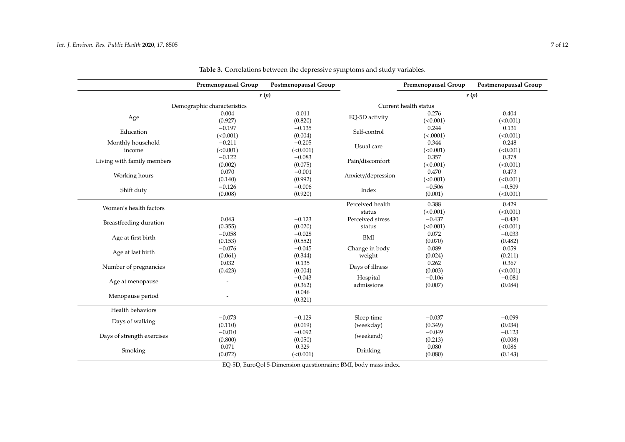<span id="page-6-0"></span>

|                             | Premenopausal Group | Postmenopausal Group |                    | Premenopausal Group   | Postmenopausal Group |  |
|-----------------------------|---------------------|----------------------|--------------------|-----------------------|----------------------|--|
|                             | r(p)                |                      |                    | r(p)                  |                      |  |
| Demographic characteristics |                     |                      |                    | Current health status |                      |  |
| Age                         | 0.004               | 0.011                | EQ-5D activity     | 0.276                 | 0.404                |  |
|                             | (0.927)             | (0.820)              |                    | (<0.001)              | (<0.001)             |  |
| Education                   | $-0.197$            | $-0.135$             | Self-control       | 0.244                 | 0.131                |  |
|                             | (<0.001)            | (0.004)              |                    | (<.0001)              | (<0.001)             |  |
| Monthly household           | $-0.211$            | $-0.205$             | Usual care         | 0.344                 | 0.248                |  |
| income                      | (<0.001)            | (<0.001)             |                    | (<0.001)              | (<0.001)             |  |
| Living with family members  | $-0.122$            | $-0.083$             |                    | 0.357                 | 0.378                |  |
|                             | (0.002)             | (0.075)              | Pain/discomfort    | (<0.001)              | (<0.001)             |  |
| Working hours               | 0.070               | $-0.001$             |                    | 0.470                 | 0.473                |  |
|                             | (0.140)             | (0.992)              | Anxiety/depression | (<0.001)              | (<0.001)             |  |
|                             | $-0.126$            | $-0.006$             | Index              | $-0.506$              | $-0.509$             |  |
| Shift duty                  | (0.008)             | (0.920)              |                    | (0.001)               | (<0.001)             |  |
| Women's health factors      |                     |                      | Perceived health   | 0.388                 | 0.429                |  |
|                             |                     |                      | status             | (<0.001)              | (<0.001)             |  |
| Breastfeeding duration      | 0.043               | $-0.123$             | Perceived stress   | $-0.437$              | $-0.430$             |  |
|                             | (0.355)             | (0.020)              | status             | (<0.001)              | (<0.001)             |  |
| Age at first birth          | $-0.058$            | $-0.028$             | <b>BMI</b>         | 0.072                 | $-0.033$             |  |
|                             | (0.153)             | (0.552)              |                    | (0.070)               | (0.482)              |  |
| Age at last birth           | $-0.076$            | $-0.045$             | Change in body     | 0.089                 | 0.059                |  |
|                             | (0.061)             | (0.344)              | weight             | (0.024)               | (0.211)              |  |
| Number of pregnancies       | 0.032               | 0.135                | Days of illness    | 0.262                 | 0.367                |  |
|                             | (0.423)             | (0.004)              |                    | (0.003)               | (<0.001)             |  |
| Age at menopause            |                     | $-0.043$             | Hospital           | $-0.106$              | $-0.081$             |  |
|                             |                     | (0.362)              | admissions         | (0.007)               | (0.084)              |  |
| Menopause period            |                     | 0.046                |                    |                       |                      |  |
|                             |                     | (0.321)              |                    |                       |                      |  |
| Health behaviors            |                     |                      |                    |                       |                      |  |
| Days of walking             | $-0.073$            | $-0.129$             | Sleep time         | $-0.037$              | $-0.099$             |  |
|                             | (0.110)             | (0.019)              | (weekday)          | (0.349)               | (0.034)              |  |
| Days of strength exercises  | $-0.010$            | $-0.092$             | (weekend)          | $-0.049$              | $-0.123$             |  |
|                             | (0.800)             | (0.050)              |                    | (0.213)               | (0.008)              |  |
| Smoking                     | 0.071               | 0.329                | Drinking           | 0.080                 | 0.086                |  |
|                             | (0.072)             | (<0.001)             |                    | (0.080)               | (0.143)              |  |

**Table 3.** Correlations between the depressive symptoms and study variables.

EQ-5D, EuroQol 5-Dimension questionnaire; BMI, body mass index.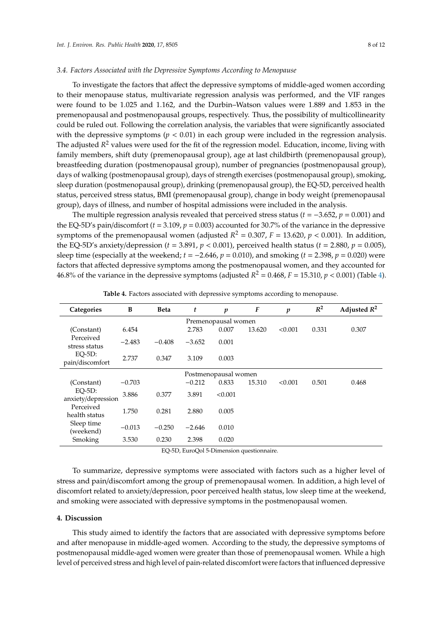#### *3.4. Factors Associated with the Depressive Symptoms According to Menopause*

To investigate the factors that affect the depressive symptoms of middle-aged women according to their menopause status, multivariate regression analysis was performed, and the VIF ranges were found to be 1.025 and 1.162, and the Durbin–Watson values were 1.889 and 1.853 in the premenopausal and postmenopausal groups, respectively. Thus, the possibility of multicollinearity could be ruled out. Following the correlation analysis, the variables that were significantly associated with the depressive symptoms  $(p < 0.01)$  in each group were included in the regression analysis. The adjusted *R* <sup>2</sup> values were used for the fit of the regression model. Education, income, living with family members, shift duty (premenopausal group), age at last childbirth (premenopausal group), breastfeeding duration (postmenopausal group), number of pregnancies (postmenopausal group), days of walking (postmenopausal group), days of strength exercises (postmenopausal group), smoking, sleep duration (postmenopausal group), drinking (premenopausal group), the EQ-5D, perceived health status, perceived stress status, BMI (premenopausal group), change in body weight (premenopausal group), days of illness, and number of hospital admissions were included in the analysis.

The multiple regression analysis revealed that perceived stress status (*t* = −3.652, *p* = 0.001) and the EQ-5D's pain/discomfort ( $t = 3.109$ ,  $p = 0.003$ ) accounted for 30.7% of the variance in the depressive symptoms of the premenopausal women (adjusted  $R^2 = 0.307$ ,  $F = 13.620$ ,  $p < 0.001$ ). In addition, the EQ-5D's anxiety/depression ( $t = 3.891$ ,  $p < 0.001$ ), perceived health status ( $t = 2.880$ ,  $p = 0.005$ ), sleep time (especially at the weekend; *t* = −2.646, *p* = 0.010), and smoking (*t* = 2.398, *p* = 0.020) were factors that affected depressive symptoms among the postmenopausal women, and they accounted for 46.8% of the variance in the depressive symptoms (adjusted  $R^2 = 0.468$ ,  $F = 15.310$ ,  $p < 0.001$ ) (Table [4\)](#page-7-0).

<span id="page-7-0"></span>

| Categories                      | B        | <b>Beta</b> | t        | $\boldsymbol{p}$ | F      | $\boldsymbol{p}$ | $R^2$ | Adjusted $R^2$ |
|---------------------------------|----------|-------------|----------|------------------|--------|------------------|-------|----------------|
| Premenopausal women             |          |             |          |                  |        |                  |       |                |
| (Constant)                      | 6.454    |             | 2.783    | 0.007            | 13.620 | < 0.001          | 0.331 | 0.307          |
| Perceived<br>stress status      | $-2.483$ | $-0.408$    | $-3.652$ | 0.001            |        |                  |       |                |
| $EO-5D$ :<br>pain/discomfort    | 2.737    | 0.347       | 3.109    | 0.003            |        |                  |       |                |
| Postmenopausal women            |          |             |          |                  |        |                  |       |                |
| (Constant)                      | $-0.703$ |             | $-0.212$ | 0.833            | 15.310 | < 0.001          | 0.501 | 0.468          |
| $EO-5D$ :<br>anxiety/depression | 3.886    | 0.377       | 3.891    | < 0.001          |        |                  |       |                |
| Perceived<br>health status      | 1.750    | 0.281       | 2.880    | 0.005            |        |                  |       |                |
| Sleep time<br>(weekend)         | $-0.013$ | $-0.250$    | $-2.646$ | 0.010            |        |                  |       |                |
| Smoking                         | 3.530    | 0.230       | 2.398    | 0.020            |        |                  |       |                |

**Table 4.** Factors associated with depressive symptoms according to menopause.

EQ-5D, EuroQol 5-Dimension questionnaire.

To summarize, depressive symptoms were associated with factors such as a higher level of stress and pain/discomfort among the group of premenopausal women. In addition, a high level of discomfort related to anxiety/depression, poor perceived health status, low sleep time at the weekend, and smoking were associated with depressive symptoms in the postmenopausal women.

### **4. Discussion**

This study aimed to identify the factors that are associated with depressive symptoms before and after menopause in middle-aged women. According to the study, the depressive symptoms of postmenopausal middle-aged women were greater than those of premenopausal women. While a high level of perceived stress and high level of pain-related discomfort were factors that influenced depressive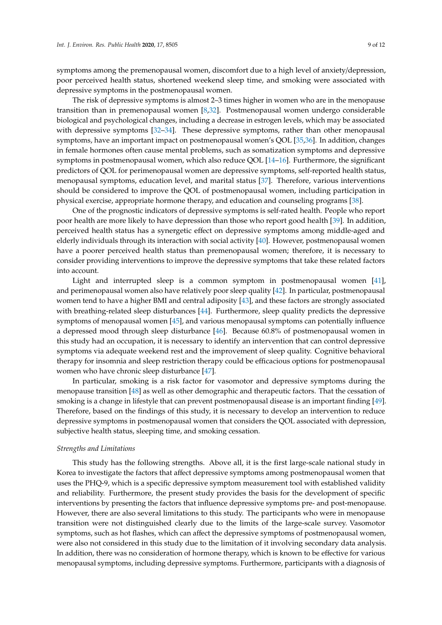symptoms among the premenopausal women, discomfort due to a high level of anxiety/depression, poor perceived health status, shortened weekend sleep time, and smoking were associated with depressive symptoms in the postmenopausal women.

The risk of depressive symptoms is almost 2–3 times higher in women who are in the menopause transition than in premenopausal women [\[8,](#page-9-5)[32\]](#page-10-12). Postmenopausal women undergo considerable biological and psychological changes, including a decrease in estrogen levels, which may be associated with depressive symptoms [\[32–](#page-10-12)[34\]](#page-10-13). These depressive symptoms, rather than other menopausal symptoms, have an important impact on postmenopausal women's QOL [\[35](#page-10-14)[,36\]](#page-10-15). In addition, changes in female hormones often cause mental problems, such as somatization symptoms and depressive symptoms in postmenopausal women, which also reduce QOL [\[14–](#page-9-11)[16\]](#page-9-12). Furthermore, the significant predictors of QOL for perimenopausal women are depressive symptoms, self-reported health status, menopausal symptoms, education level, and marital status [\[37\]](#page-10-16). Therefore, various interventions should be considered to improve the QOL of postmenopausal women, including participation in physical exercise, appropriate hormone therapy, and education and counseling programs [\[38\]](#page-10-17).

One of the prognostic indicators of depressive symptoms is self-rated health. People who report poor health are more likely to have depression than those who report good health [\[39\]](#page-10-18). In addition, perceived health status has a synergetic effect on depressive symptoms among middle-aged and elderly individuals through its interaction with social activity [\[40\]](#page-10-19). However, postmenopausal women have a poorer perceived health status than premenopausal women; therefore, it is necessary to consider providing interventions to improve the depressive symptoms that take these related factors into account.

Light and interrupted sleep is a common symptom in postmenopausal women [\[41\]](#page-11-0), and perimenopausal women also have relatively poor sleep quality [\[42\]](#page-11-1). In particular, postmenopausal women tend to have a higher BMI and central adiposity [\[43\]](#page-11-2), and these factors are strongly associated with breathing-related sleep disturbances [\[44\]](#page-11-3). Furthermore, sleep quality predicts the depressive symptoms of menopausal women [\[45\]](#page-11-4), and various menopausal symptoms can potentially influence a depressed mood through sleep disturbance [\[46\]](#page-11-5). Because 60.8% of postmenopausal women in this study had an occupation, it is necessary to identify an intervention that can control depressive symptoms via adequate weekend rest and the improvement of sleep quality. Cognitive behavioral therapy for insomnia and sleep restriction therapy could be efficacious options for postmenopausal women who have chronic sleep disturbance [\[47\]](#page-11-6).

In particular, smoking is a risk factor for vasomotor and depressive symptoms during the menopause transition [\[48\]](#page-11-7) as well as other demographic and therapeutic factors. That the cessation of smoking is a change in lifestyle that can prevent postmenopausal disease is an important finding [\[49\]](#page-11-8). Therefore, based on the findings of this study, it is necessary to develop an intervention to reduce depressive symptoms in postmenopausal women that considers the QOL associated with depression, subjective health status, sleeping time, and smoking cessation.

#### *Strengths and Limitations*

This study has the following strengths. Above all, it is the first large-scale national study in Korea to investigate the factors that affect depressive symptoms among postmenopausal women that uses the PHQ-9, which is a specific depressive symptom measurement tool with established validity and reliability. Furthermore, the present study provides the basis for the development of specific interventions by presenting the factors that influence depressive symptoms pre- and post-menopause. However, there are also several limitations to this study. The participants who were in menopause transition were not distinguished clearly due to the limits of the large-scale survey. Vasomotor symptoms, such as hot flashes, which can affect the depressive symptoms of postmenopausal women, were also not considered in this study due to the limitation of it involving secondary data analysis. In addition, there was no consideration of hormone therapy, which is known to be effective for various menopausal symptoms, including depressive symptoms. Furthermore, participants with a diagnosis of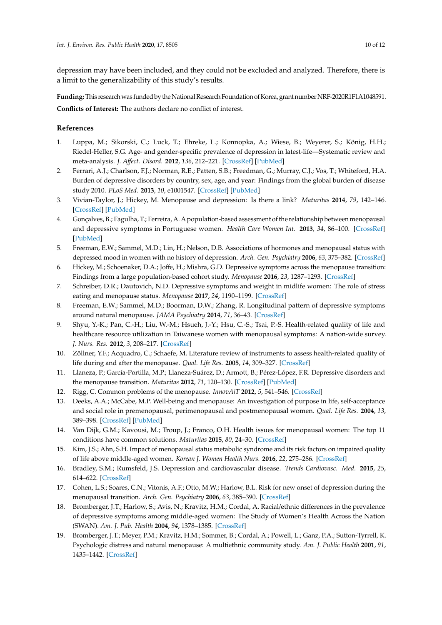depression may have been included, and they could not be excluded and analyzed. Therefore, there is a limit to the generalizability of this study's results.

Funding: This research was funded by the National Research Foundation of Korea, grant number NRF-2020R1F1A1048591. **Conflicts of Interest:** The authors declare no conflict of interest.

## **References**

- <span id="page-9-0"></span>1. Luppa, M.; Sikorski, C.; Luck, T.; Ehreke, L.; Konnopka, A.; Wiese, B.; Weyerer, S.; König, H.H.; Riedel-Heller, S.G. Age- and gender-specific prevalence of depression in latest-life—Systematic review and meta-analysis. *J. A*ff*ect. Disord.* **2012**, *136*, 212–221. [\[CrossRef\]](http://dx.doi.org/10.1016/j.jad.2010.11.033) [\[PubMed\]](http://www.ncbi.nlm.nih.gov/pubmed/21194754)
- <span id="page-9-1"></span>2. Ferrari, A.J.; Charlson, F.J.; Norman, R.E.; Patten, S.B.; Freedman, G.; Murray, C.J.; Vos, T.; Whiteford, H.A. Burden of depressive disorders by country, sex, age, and year: Findings from the global burden of disease study 2010. *PLoS Med.* **2013**, *10*, e1001547. [\[CrossRef\]](http://dx.doi.org/10.1371/journal.pmed.1001547) [\[PubMed\]](http://www.ncbi.nlm.nih.gov/pubmed/24223526)
- <span id="page-9-2"></span>3. Vivian-Taylor, J.; Hickey, M. Menopause and depression: Is there a link? *Maturitas* **2014**, *79*, 142–146. [\[CrossRef\]](http://dx.doi.org/10.1016/j.maturitas.2014.05.014) [\[PubMed\]](http://www.ncbi.nlm.nih.gov/pubmed/24951102)
- <span id="page-9-3"></span>4. Gonçalves, B.; Fagulha, T.; Ferreira, A. A population-based assessment of the relationship between menopausal and depressive symptoms in Portuguese women. *Health Care Women Int.* **2013**, *34*, 86–100. [\[CrossRef\]](http://dx.doi.org/10.1080/07399332.2012.721413) [\[PubMed\]](http://www.ncbi.nlm.nih.gov/pubmed/23216098)
- <span id="page-9-4"></span>5. Freeman, E.W.; Sammel, M.D.; Lin, H.; Nelson, D.B. Associations of hormones and menopausal status with depressed mood in women with no history of depression. *Arch. Gen. Psychiatry* **2006**, *63*, 375–382. [\[CrossRef\]](http://dx.doi.org/10.1001/archpsyc.63.4.375)
- <span id="page-9-16"></span>6. Hickey, M.; Schoenaker, D.A.; Joffe, H.; Mishra, G.D. Depressive symptoms across the menopause transition: Findings from a large population-based cohort study. *Menopause* **2016**, *23*, 1287–1293. [\[CrossRef\]](http://dx.doi.org/10.1097/GME.0000000000000712)
- 7. Schreiber, D.R.; Dautovich, N.D. Depressive symptoms and weight in midlife women: The role of stress eating and menopause status. *Menopause* **2017**, *24*, 1190–1199. [\[CrossRef\]](http://dx.doi.org/10.1097/GME.0000000000000897)
- <span id="page-9-5"></span>8. Freeman, E.W.; Sammel, M.D.; Boorman, D.W.; Zhang, R. Longitudinal pattern of depressive symptoms around natural menopause. *JAMA Psychiatry* **2014**, *71*, 36–43. [\[CrossRef\]](http://dx.doi.org/10.1001/jamapsychiatry.2013.2819)
- <span id="page-9-6"></span>9. Shyu, Y.-K.; Pan, C.-H.; Liu, W.-M.; Hsueh, J.-Y.; Hsu, C.-S.; Tsai, P.-S. Health-related quality of life and healthcare resource utilization in Taiwanese women with menopausal symptoms: A nation-wide survey. *J. Nurs. Res.* **2012**, *3*, 208–217. [\[CrossRef\]](http://dx.doi.org/10.1097/jnr.0b013e318265619b)
- <span id="page-9-7"></span>10. Zöllner, Y.F.; Acquadro, C.; Schaefe, M. Literature review of instruments to assess health-related quality of life during and after the menopause. *Qual. Life Res.* **2005**, *14*, 309–327. [\[CrossRef\]](http://dx.doi.org/10.1007/s11136-004-0688-z)
- <span id="page-9-8"></span>11. Llaneza, P.; García-Portilla, M.P.; Llaneza-Suárez, D.; Armott, B.; Pérez-López, F.R. Depressive disorders and the menopause transition. *Maturitas* **2012**, *71*, 120–130. [\[CrossRef\]](http://dx.doi.org/10.1016/j.maturitas.2011.11.017) [\[PubMed\]](http://www.ncbi.nlm.nih.gov/pubmed/22196311)
- <span id="page-9-9"></span>12. Rigg, C. Common problems of the menopause. *InnovAiT* **2012**, *5*, 541–546. [\[CrossRef\]](http://dx.doi.org/10.1093/innovait/ins075)
- <span id="page-9-10"></span>13. Deeks, A.A.; McCabe, M.P. Well-being and menopause: An investigation of purpose in life, self-acceptance and social role in premenopausal, perimenopausal and postmenopausal women. *Qual. Life Res.* **2004**, *13*, 389–398. [\[CrossRef\]](http://dx.doi.org/10.1023/B:QURE.0000018506.33706.05) [\[PubMed\]](http://www.ncbi.nlm.nih.gov/pubmed/15085911)
- <span id="page-9-11"></span>14. Van Dijk, G.M.; Kavousi, M.; Troup, J.; Franco, O.H. Health issues for menopausal women: The top 11 conditions have common solutions. *Maturitas* **2015**, *80*, 24–30. [\[CrossRef\]](http://dx.doi.org/10.1016/j.maturitas.2014.09.013)
- 15. Kim, J.S.; Ahn, S.H. Impact of menopausal status metabolic syndrome and its risk factors on impaired quality of life above middle-aged women. *Korean J. Women Health Nurs.* **2016**, *22*, 275–286. [\[CrossRef\]](http://dx.doi.org/10.4069/kjwhn.2016.22.4.275)
- <span id="page-9-12"></span>16. Bradley, S.M.; Rumsfeld, J.S. Depression and cardiovascular disease. *Trends Cardiovasc. Med.* **2015**, *25*, 614–622. [\[CrossRef\]](http://dx.doi.org/10.1016/j.tcm.2015.02.002)
- <span id="page-9-13"></span>17. Cohen, L.S.; Soares, C.N.; Vitonis, A.F.; Otto, M.W.; Harlow, B.L. Risk for new onset of depression during the menopausal transition. *Arch. Gen. Psychiatry* **2006**, *63*, 385–390. [\[CrossRef\]](http://dx.doi.org/10.1001/archpsyc.63.4.385)
- <span id="page-9-14"></span>18. Bromberger, J.T.; Harlow, S.; Avis, N.; Kravitz, H.M.; Cordal, A. Racial/ethnic differences in the prevalence of depressive symptoms among middle-aged women: The Study of Women's Health Across the Nation (SWAN). *Am. J. Pub. Health* **2004**, *94*, 1378–1385. [\[CrossRef\]](http://dx.doi.org/10.2105/AJPH.94.8.1378)
- <span id="page-9-15"></span>19. Bromberger, J.T.; Meyer, P.M.; Kravitz, H.M.; Sommer, B.; Cordal, A.; Powell, L.; Ganz, P.A.; Sutton-Tyrrell, K. Psychologic distress and natural menopause: A multiethnic community study. *Am. J. Public Health* **2001**, *91*, 1435–1442. [\[CrossRef\]](http://dx.doi.org/10.2105/AJPH.91.9.1435)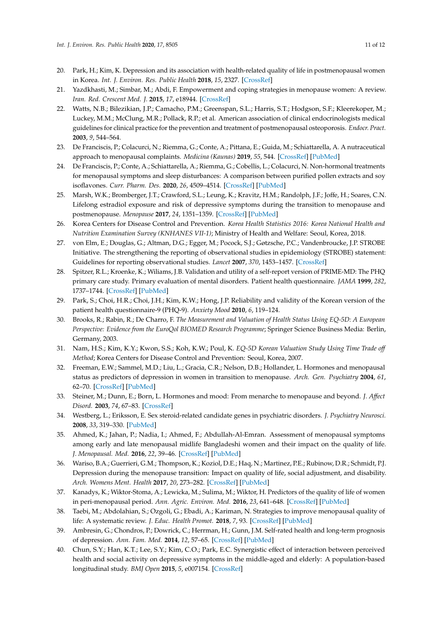- <span id="page-10-0"></span>20. Park, H.; Kim, K. Depression and its association with health-related quality of life in postmenopausal women in Korea. *Int. J. Environ. Res. Public Health* **2018**, *15*, 2327. [\[CrossRef\]](http://dx.doi.org/10.3390/ijerph15112327)
- <span id="page-10-1"></span>21. Yazdkhasti, M.; Simbar, M.; Abdi, F. Empowerment and coping strategies in menopause women: A review. *Iran. Red. Crescent Med. J.* **2015**, *17*, e18944. [\[CrossRef\]](http://dx.doi.org/10.5812/ircmj.18944)
- <span id="page-10-2"></span>22. Watts, N.B.; Bilezikian, J.P.; Camacho, P.M.; Greenspan, S.L.; Harris, S.T.; Hodgson, S.F.; Kleerekoper, M.; Luckey, M.M.; McClung, M.R.; Pollack, R.P.; et al. American association of clinical endocrinologists medical guidelines for clinical practice for the prevention and treatment of postmenopausal osteoporosis. *Endocr. Pract.* **2003**, *9*, 544–564.
- <span id="page-10-3"></span>23. De Franciscis, P.; Colacurci, N.; Riemma, G.; Conte, A.; Pittana, E.; Guida, M.; Schiattarella, A. A nutraceutical approach to menopausal complaints. *Medicina (Kaunas)* **2019**, *55*, 544. [\[CrossRef\]](http://dx.doi.org/10.3390/medicina55090544) [\[PubMed\]](http://www.ncbi.nlm.nih.gov/pubmed/31466381)
- <span id="page-10-4"></span>24. De Franciscis, P.; Conte, A.; Schiattarella, A.; Riemma, G.; Cobellis, L.; Colacurci, N. Non-hormonal treatments for menopausal symptoms and sleep disturbances: A comparison between purified pollen extracts and soy isoflavones. *Curr. Pharm. Des.* **2020**, *26*, 4509–4514. [\[CrossRef\]](http://dx.doi.org/10.2174/1381612826666200721002022) [\[PubMed\]](http://www.ncbi.nlm.nih.gov/pubmed/32693763)
- <span id="page-10-5"></span>25. Marsh, W.K.; Bromberger, J.T.; Crawford, S.L.; Leung, K.; Kravitz, H.M.; Randolph, J.F.; Joffe, H.; Soares, C.N. Lifelong estradiol exposure and risk of depressive symptoms during the transition to menopause and postmenopause. *Menopause* **2017**, *24*, 1351–1359. [\[CrossRef\]](http://dx.doi.org/10.1097/GME.0000000000000929) [\[PubMed\]](http://www.ncbi.nlm.nih.gov/pubmed/28719421)
- <span id="page-10-6"></span>26. Korea Centers for Disease Control and Prevention. *Korea Health Statistics 2016: Korea National Health and Nutrition Examination Survey (KNHANES VII-1)*; Ministry of Health and Welfare: Seoul, Korea, 2018.
- <span id="page-10-7"></span>27. von Elm, E.; Douglas, G.; Altman, D.G.; Egger, M.; Pocock, S.J.; Gøtzsche, P.C.; Vandenbroucke, J.P. STROBE Initiative. The strengthening the reporting of observational studies in epidemiology (STROBE) statement: Guidelines for reporting observational studies. *Lancet* **2007**, *370*, 1453–1457. [\[CrossRef\]](http://dx.doi.org/10.1016/S0140-6736(07)61602-X)
- <span id="page-10-8"></span>28. Spitzer, R.L.; Kroenke, K.; Wiliams, J.B. Validation and utility of a self-report version of PRIME-MD: The PHQ primary care study. Primary evaluation of mental disorders. Patient health questionnaire. *JAMA* **1999**, *282*, 1737–1744. [\[CrossRef\]](http://dx.doi.org/10.1001/jama.282.18.1737) [\[PubMed\]](http://www.ncbi.nlm.nih.gov/pubmed/10568646)
- <span id="page-10-9"></span>29. Park, S.; Choi, H.R.; Choi, J.H.; Kim, K.W.; Hong, J.P. Reliability and validity of the Korean version of the patient health questionnaire-9 (PHQ-9). *Anxiety Mood* **2010**, *6*, 119–124.
- <span id="page-10-10"></span>30. Brooks, R.; Rabin, R.; De Charro, F. *The Measurement and Valuation of Health Status Using EQ-5D: A European Perspective: Evidence from the EuroQol BIOMED Research Programme*; Springer Science Business Media: Berlin, Germany, 2003.
- <span id="page-10-11"></span>31. Nam, H.S.; Kim, K.Y.; Kwon, S.S.; Koh, K.W.; Poul, K. *EQ-5D Korean Valuation Study Using Time Trade o*ff *Method*; Korea Centers for Disease Control and Prevention: Seoul, Korea, 2007.
- <span id="page-10-12"></span>32. Freeman, E.W.; Sammel, M.D.; Liu, L.; Gracia, C.R.; Nelson, D.B.; Hollander, L. Hormones and menopausal status as predictors of depression in women in transition to menopause. *Arch. Gen. Psychiatry* **2004**, *61*, 62–70. [\[CrossRef\]](http://dx.doi.org/10.1001/archpsyc.61.1.62) [\[PubMed\]](http://www.ncbi.nlm.nih.gov/pubmed/14706945)
- 33. Steiner, M.; Dunn, E.; Born, L. Hormones and mood: From menarche to menopause and beyond. *J. A*ff*ect Disord.* **2003**, *74*, 67–83. [\[CrossRef\]](http://dx.doi.org/10.1016/S0165-0327(02)00432-9)
- <span id="page-10-13"></span>34. Westberg, L.; Eriksson, E. Sex steroid-related candidate genes in psychiatric disorders. *J. Psychiatry Neurosci.* **2008**, *33*, 319–330. [\[PubMed\]](http://www.ncbi.nlm.nih.gov/pubmed/18592033)
- <span id="page-10-14"></span>35. Ahmed, K.; Jahan, P.; Nadia, I.; Ahmed, F.; Abdullah-Al-Emran. Assessment of menopausal symptoms among early and late menopausal midlife Bangladeshi women and their impact on the quality of life. *J. Menopausal. Med.* **2016**, *22*, 39–46. [\[CrossRef\]](http://dx.doi.org/10.6118/jmm.2016.22.1.39) [\[PubMed\]](http://www.ncbi.nlm.nih.gov/pubmed/27152312)
- <span id="page-10-15"></span>36. Wariso, B.A.; Guerrieri, G.M.; Thompson, K.; Koziol, D.E.; Haq, N.; Martinez, P.E.; Rubinow, D.R.; Schmidt, P.J. Depression during the menopause transition: Impact on quality of life, social adjustment, and disability. *Arch. Womens Ment. Health* **2017**, *20*, 273–282. [\[CrossRef\]](http://dx.doi.org/10.1007/s00737-016-0701-x) [\[PubMed\]](http://www.ncbi.nlm.nih.gov/pubmed/28000061)
- <span id="page-10-16"></span>37. Kanadys, K.; Wiktor-Stoma, A.; Lewicka, M.; Sulima, M.; Wiktor, H. Predictors of the quality of life of women in peri-menopausal period. *Ann. Agric. Environ. Med.* **2016**, *23*, 641–648. [\[CrossRef\]](http://dx.doi.org/10.5604/12321966.1226860) [\[PubMed\]](http://www.ncbi.nlm.nih.gov/pubmed/28030937)
- <span id="page-10-17"></span>38. Taebi, M.; Abdolahian, S.; Ozgoli, G.; Ebadi, A.; Kariman, N. Strategies to improve menopausal quality of life: A systematic review. *J. Educ. Health Promot.* **2018**, *7*, 93. [\[CrossRef\]](http://dx.doi.org/10.4103/jehp.jehp_137_17) [\[PubMed\]](http://www.ncbi.nlm.nih.gov/pubmed/30079364)
- <span id="page-10-18"></span>39. Ambresin, G.; Chondros, P.; Dowrick, C.; Herrman, H.; Gunn, J.M. Self-rated health and long-term prognosis of depression. *Ann. Fam. Med.* **2014**, *12*, 57–65. [\[CrossRef\]](http://dx.doi.org/10.1370/afm.1562) [\[PubMed\]](http://www.ncbi.nlm.nih.gov/pubmed/24445104)
- <span id="page-10-19"></span>40. Chun, S.Y.; Han, K.T.; Lee, S.Y.; Kim, C.O.; Park, E.C. Synergistic effect of interaction between perceived health and social activity on depressive symptoms in the middle-aged and elderly: A population-based longitudinal study. *BMJ Open* **2015**, *5*, e007154. [\[CrossRef\]](http://dx.doi.org/10.1136/bmjopen-2014-007154)